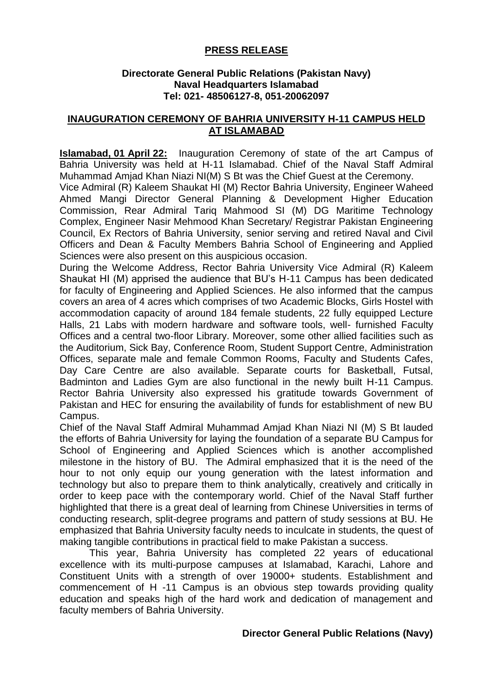## **PRESS RELEASE**

## **Directorate General Public Relations (Pakistan Navy) Naval Headquarters Islamabad Tel: 021- 48506127-8, 051-20062097**

## **INAUGURATION CEREMONY OF BAHRIA UNIVERSITY H-11 CAMPUS HELD AT ISLAMABAD**

**Islamabad, 01 April 22:** Inauguration Ceremony of state of the art Campus of Bahria University was held at H-11 Islamabad. Chief of the Naval Staff Admiral Muhammad Amjad Khan Niazi NI(M) S Bt was the Chief Guest at the Ceremony.

Vice Admiral (R) Kaleem Shaukat HI (M) Rector Bahria University, Engineer Waheed Ahmed Mangi Director General Planning & Development Higher Education Commission, Rear Admiral Tariq Mahmood SI (M) DG Maritime Technology Complex, Engineer Nasir Mehmood Khan Secretary/ Registrar Pakistan Engineering Council, Ex Rectors of Bahria University, senior serving and retired Naval and Civil Officers and Dean & Faculty Members Bahria School of Engineering and Applied Sciences were also present on this auspicious occasion.

During the Welcome Address, Rector Bahria University Vice Admiral (R) Kaleem Shaukat HI (M) apprised the audience that BU's H-11 Campus has been dedicated for faculty of Engineering and Applied Sciences. He also informed that the campus covers an area of 4 acres which comprises of two Academic Blocks, Girls Hostel with accommodation capacity of around 184 female students, 22 fully equipped Lecture Halls, 21 Labs with modern hardware and software tools, well- furnished Faculty Offices and a central two-floor Library. Moreover, some other allied facilities such as the Auditorium, Sick Bay, Conference Room, Student Support Centre, Administration Offices, separate male and female Common Rooms, Faculty and Students Cafes, Day Care Centre are also available. Separate courts for Basketball, Futsal, Badminton and Ladies Gym are also functional in the newly built H-11 Campus. Rector Bahria University also expressed his gratitude towards Government of Pakistan and HEC for ensuring the availability of funds for establishment of new BU Campus.

Chief of the Naval Staff Admiral Muhammad Amjad Khan Niazi NI (M) S Bt lauded the efforts of Bahria University for laying the foundation of a separate BU Campus for School of Engineering and Applied Sciences which is another accomplished milestone in the history of BU. The Admiral emphasized that it is the need of the hour to not only equip our young generation with the latest information and technology but also to prepare them to think analytically, creatively and critically in order to keep pace with the contemporary world. Chief of the Naval Staff further highlighted that there is a great deal of learning from Chinese Universities in terms of conducting research, split-degree programs and pattern of study sessions at BU. He emphasized that Bahria University faculty needs to inculcate in students, the quest of making tangible contributions in practical field to make Pakistan a success.

This year, Bahria University has completed 22 years of educational excellence with its multi-purpose campuses at Islamabad, Karachi, Lahore and Constituent Units with a strength of over 19000+ students. Establishment and commencement of H -11 Campus is an obvious step towards providing quality education and speaks high of the hard work and dedication of management and faculty members of Bahria University.

## **Director General Public Relations (Navy)**